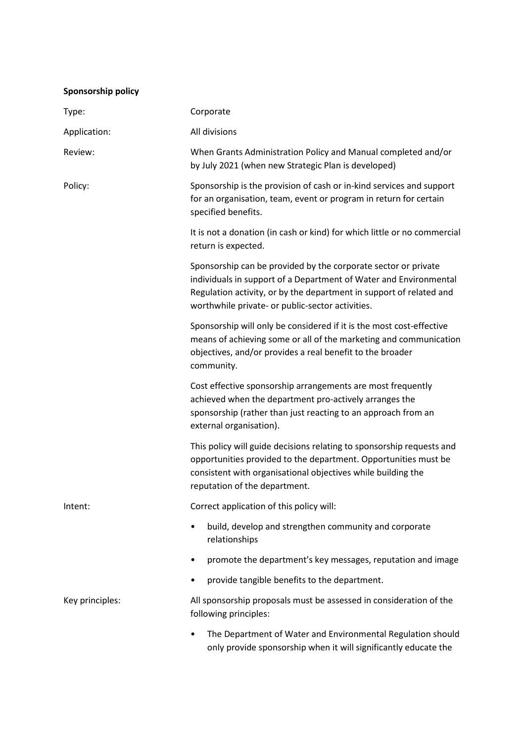| Sponsorship policy |
|--------------------|
|--------------------|

| Type:           | Corporate                                                                                                                                                                                                                                                      |
|-----------------|----------------------------------------------------------------------------------------------------------------------------------------------------------------------------------------------------------------------------------------------------------------|
| Application:    | All divisions                                                                                                                                                                                                                                                  |
| Review:         | When Grants Administration Policy and Manual completed and/or<br>by July 2021 (when new Strategic Plan is developed)                                                                                                                                           |
| Policy:         | Sponsorship is the provision of cash or in-kind services and support<br>for an organisation, team, event or program in return for certain<br>specified benefits.                                                                                               |
|                 | It is not a donation (in cash or kind) for which little or no commercial<br>return is expected.                                                                                                                                                                |
|                 | Sponsorship can be provided by the corporate sector or private<br>individuals in support of a Department of Water and Environmental<br>Regulation activity, or by the department in support of related and<br>worthwhile private- or public-sector activities. |
|                 | Sponsorship will only be considered if it is the most cost-effective<br>means of achieving some or all of the marketing and communication<br>objectives, and/or provides a real benefit to the broader<br>community.                                           |
|                 | Cost effective sponsorship arrangements are most frequently<br>achieved when the department pro-actively arranges the<br>sponsorship (rather than just reacting to an approach from an<br>external organisation).                                              |
|                 | This policy will guide decisions relating to sponsorship requests and<br>opportunities provided to the department. Opportunities must be<br>consistent with organisational objectives while building the<br>reputation of the department.                      |
| Intent:         | Correct application of this policy will:                                                                                                                                                                                                                       |
|                 | build, develop and strengthen community and corporate<br>$\bullet$<br>relationships                                                                                                                                                                            |
|                 | promote the department's key messages, reputation and image<br>٠                                                                                                                                                                                               |
|                 | provide tangible benefits to the department.<br>$\bullet$                                                                                                                                                                                                      |
| Key principles: | All sponsorship proposals must be assessed in consideration of the<br>following principles:                                                                                                                                                                    |
|                 | The Department of Water and Environmental Regulation should<br>$\bullet$<br>only provide sponsorship when it will significantly educate the                                                                                                                    |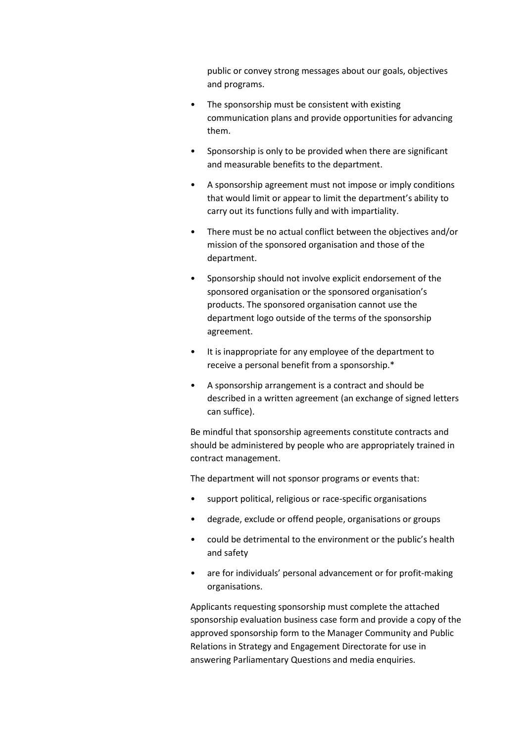public or convey strong messages about our goals, objectives and programs.

- The sponsorship must be consistent with existing communication plans and provide opportunities for advancing them.
- Sponsorship is only to be provided when there are significant and measurable benefits to the department.
- A sponsorship agreement must not impose or imply conditions that would limit or appear to limit the department's ability to carry out its functions fully and with impartiality.
- There must be no actual conflict between the objectives and/or mission of the sponsored organisation and those of the department.
- Sponsorship should not involve explicit endorsement of the sponsored organisation or the sponsored organisation's products. The sponsored organisation cannot use the department logo outside of the terms of the sponsorship agreement.
- It is inappropriate for any employee of the department to receive a personal benefit from a sponsorship.\*
- A sponsorship arrangement is a contract and should be described in a written agreement (an exchange of signed letters can suffice).

Be mindful that sponsorship agreements constitute contracts and should be administered by people who are appropriately trained in contract management.

The department will not sponsor programs or events that:

- support political, religious or race-specific organisations
- degrade, exclude or offend people, organisations or groups
- could be detrimental to the environment or the public's health and safety
- are for individuals' personal advancement or for profit-making organisations.

Applicants requesting sponsorship must complete the attached sponsorship evaluation business case form and provide a copy of the approved sponsorship form to the Manager Community and Public Relations in Strategy and Engagement Directorate for use in answering Parliamentary Questions and media enquiries.